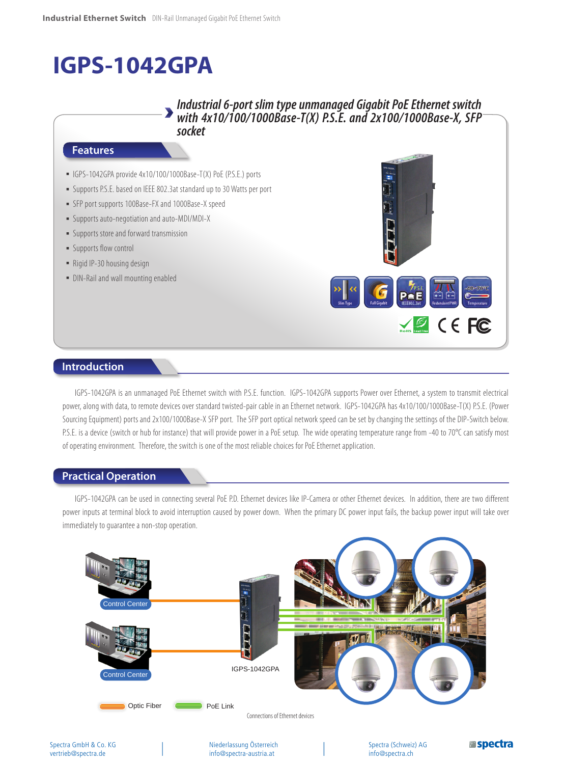# **IGPS-1042GPA**

## *Industrial 6-port slim type unmanaged Gigabit PoE Ethernet switch with 4x10/100/1000Base-T(X) P.S.E. and 2x100/1000Base-X, SFP socket*

### **Features**

- IGPS-1042GPA provide 4x10/100/1000Base-T(X) PoE (P.S.E.) ports
- Supports P.S.E. based on IEEE 802.3at standard up to 30 Watts per port
- **EXECT:** SFP port supports 100Base-FX and 1000Base-X speed
- Supports auto-negotiation and auto-MDI/MDI-X
- **•** Supports store and forward transmission
- **E** Supports flow control
- Rigid IP-30 housing design
- DIN-Rail and wall mounting enabled



## **Introduction**

IGPS-1042GPA is an unmanaged PoE Ethernet switch with P.S.E. function. IGPS-1042GPA supports Power over Ethernet, a system to transmit electrical power, along with data, to remote devices over standard twisted-pair cable in an Ethernet network. IGPS-1042GPA has 4x10/100/1000Base-T(X) P.S.E. (Power Sourcing Equipment) ports and 2x100/1000Base-X SFP port. The SFP port optical network speed can be set by changing the settings of the DIP-Switch below. P.S.E. is a device (switch or hub for instance) that will provide power in a PoE setup. The wide operating temperature range from -40 to 70°C can satisfy most of operating environment. Therefore, the switch is one of the most reliable choices for PoE Ethernet application.

#### **Practical Operation**

IGPS-1042GPA can be used in connecting several PoE P.D. Ethernet devices like IP-Camera or other Ethernet devices. In addition, there are two different power inputs at terminal block to avoid interruption caused by power down. When the primary DC power input fails, the backup power input will take over immediately to guarantee a non-stop operation.

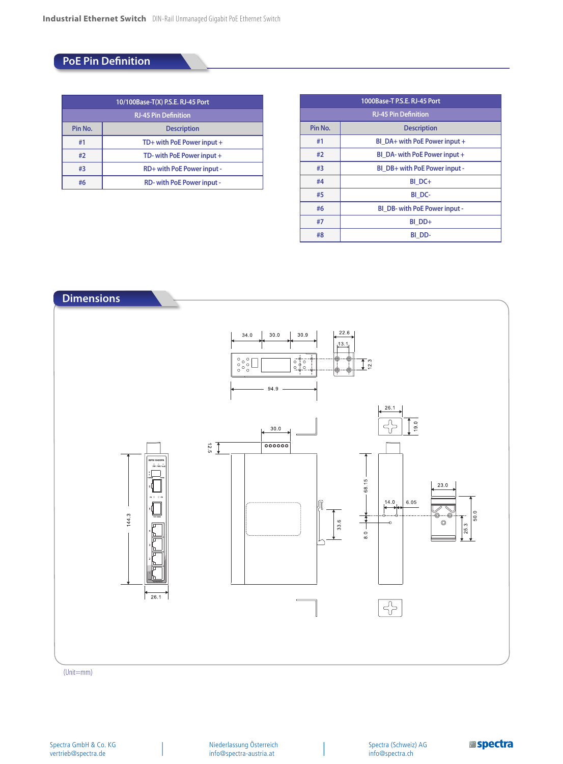## **PoE Pin Definition**

| 10/100Base-T(X) P.S.E. RJ-45 Port |                                  |  |  |  |  |
|-----------------------------------|----------------------------------|--|--|--|--|
| <b>RJ-45 Pin Definition</b>       |                                  |  |  |  |  |
| Pin No.                           | <b>Description</b>               |  |  |  |  |
| #1                                | TD+ with PoE Power input +       |  |  |  |  |
| #2                                | TD- with PoE Power input +       |  |  |  |  |
| #3                                | RD+ with PoE Power input -       |  |  |  |  |
| #6                                | <b>RD-with PoE Power input -</b> |  |  |  |  |

| 1000Base-T P.S.E. RJ-45 Port |                               |  |  |  |  |  |
|------------------------------|-------------------------------|--|--|--|--|--|
| <b>RJ-45 Pin Definition</b>  |                               |  |  |  |  |  |
| Pin No.                      | <b>Description</b>            |  |  |  |  |  |
| #1                           | BI DA+ with PoE Power input + |  |  |  |  |  |
| #2                           | BI DA- with PoE Power input + |  |  |  |  |  |
| #3                           | BI DB+ with PoE Power input - |  |  |  |  |  |
| #4                           | BI DC+                        |  |  |  |  |  |
| #5                           | BI DC-                        |  |  |  |  |  |
| #6                           | BI DB- with PoE Power input - |  |  |  |  |  |
| #7                           | BI DD+                        |  |  |  |  |  |
| #8                           | BI DD-                        |  |  |  |  |  |



(Unit=mm)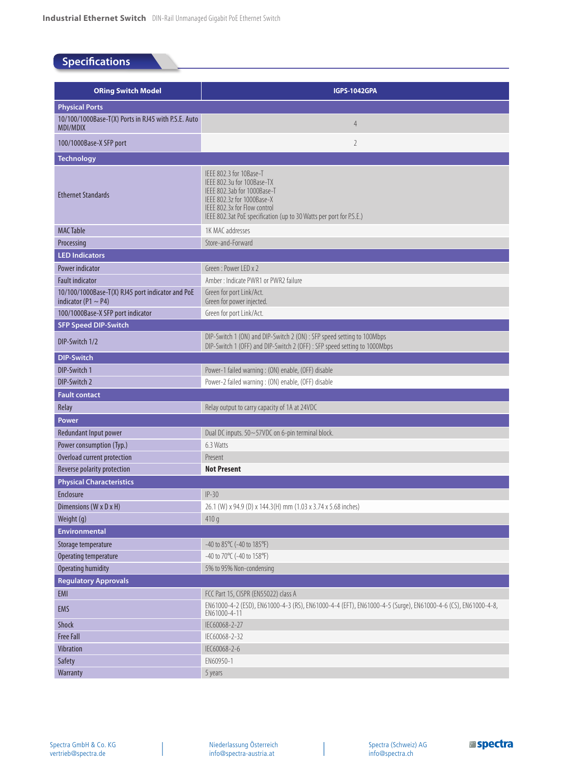# **Specifications**

| <b>ORing Switch Model</b>                                                    | <b>IGPS-1042GPA</b>                                                                                                                                                                                                       |  |  |  |  |  |  |
|------------------------------------------------------------------------------|---------------------------------------------------------------------------------------------------------------------------------------------------------------------------------------------------------------------------|--|--|--|--|--|--|
| <b>Physical Ports</b>                                                        |                                                                                                                                                                                                                           |  |  |  |  |  |  |
| 10/100/1000Base-T(X) Ports in RJ45 with P.S.E. Auto<br>MDI/MDIX              | $\overline{4}$                                                                                                                                                                                                            |  |  |  |  |  |  |
| 100/1000Base-X SFP port                                                      | 2                                                                                                                                                                                                                         |  |  |  |  |  |  |
| <b>Technology</b>                                                            |                                                                                                                                                                                                                           |  |  |  |  |  |  |
| <b>Ethernet Standards</b>                                                    | IEEE 802.3 for 10Base-T<br>IEEE 802.3u for 100Base-TX<br>IEEE 802.3ab for 1000Base-T<br>IEEE 802.3z for 1000Base-X<br>IEEE 802.3x for Flow control<br>IEEE 802.3at PoE specification (up to 30 Watts per port for P.S.E.) |  |  |  |  |  |  |
| <b>MAC Table</b>                                                             | 1K MAC addresses                                                                                                                                                                                                          |  |  |  |  |  |  |
| Processing                                                                   | Store-and-Forward                                                                                                                                                                                                         |  |  |  |  |  |  |
| <b>LED Indicators</b>                                                        |                                                                                                                                                                                                                           |  |  |  |  |  |  |
| Power indicator                                                              | Green: Power LED x 2                                                                                                                                                                                                      |  |  |  |  |  |  |
| <b>Fault indicator</b>                                                       | Amber: Indicate PWR1 or PWR2 failure                                                                                                                                                                                      |  |  |  |  |  |  |
| 10/100/1000Base-T(X) RJ45 port indicator and PoE<br>indicator (P1 $\sim$ P4) | Green for port Link/Act.<br>Green for power injected.                                                                                                                                                                     |  |  |  |  |  |  |
| 100/1000Base-X SFP port indicator                                            | Green for port Link/Act.                                                                                                                                                                                                  |  |  |  |  |  |  |
| <b>SFP Speed DIP-Switch</b>                                                  |                                                                                                                                                                                                                           |  |  |  |  |  |  |
| DIP-Switch 1/2                                                               | DIP-Switch 1 (ON) and DIP-Switch 2 (ON) : SFP speed setting to 100Mbps<br>DIP-Switch 1 (OFF) and DIP-Switch 2 (OFF) : SFP speed setting to 1000Mbps                                                                       |  |  |  |  |  |  |
| <b>DIP-Switch</b>                                                            |                                                                                                                                                                                                                           |  |  |  |  |  |  |
| DIP-Switch 1                                                                 | Power-1 failed warning : (ON) enable, (OFF) disable                                                                                                                                                                       |  |  |  |  |  |  |
| DIP-Switch 2                                                                 | Power-2 failed warning : (ON) enable, (OFF) disable                                                                                                                                                                       |  |  |  |  |  |  |
| <b>Fault contact</b>                                                         |                                                                                                                                                                                                                           |  |  |  |  |  |  |
| Relay                                                                        | Relay output to carry capacity of 1A at 24VDC                                                                                                                                                                             |  |  |  |  |  |  |
| Power                                                                        |                                                                                                                                                                                                                           |  |  |  |  |  |  |
| Redundant Input power                                                        | Dual DC inputs. 50~57VDC on 6-pin terminal block.                                                                                                                                                                         |  |  |  |  |  |  |
| Power consumption (Typ.)                                                     | 6.3 Watts                                                                                                                                                                                                                 |  |  |  |  |  |  |
| Overload current protection                                                  | Present                                                                                                                                                                                                                   |  |  |  |  |  |  |
| Reverse polarity protection                                                  | <b>Not Present</b>                                                                                                                                                                                                        |  |  |  |  |  |  |
| <b>Physical Characteristics</b>                                              |                                                                                                                                                                                                                           |  |  |  |  |  |  |
| <b>Enclosure</b>                                                             | $IP-30$                                                                                                                                                                                                                   |  |  |  |  |  |  |
| Dimensions (W x D x H)                                                       | 26.1 (W) x 94.9 (D) x 144.3 (H) mm (1.03 x 3.74 x 5.68 inches)                                                                                                                                                            |  |  |  |  |  |  |
| Weight (g)                                                                   | 410q                                                                                                                                                                                                                      |  |  |  |  |  |  |
| <b>Environmental</b>                                                         |                                                                                                                                                                                                                           |  |  |  |  |  |  |
| Storage temperature                                                          | $-40$ to 85 $\degree$ C ( $-40$ to 185 $\degree$ F)                                                                                                                                                                       |  |  |  |  |  |  |
| Operating temperature                                                        | -40 to 70°C (-40 to 158°F)                                                                                                                                                                                                |  |  |  |  |  |  |
| <b>Operating humidity</b>                                                    | 5% to 95% Non-condensing                                                                                                                                                                                                  |  |  |  |  |  |  |
| Regulatory Approvals                                                         |                                                                                                                                                                                                                           |  |  |  |  |  |  |
| EMI                                                                          | FCC Part 15, CISPR (EN55022) class A<br>EN61000-4-2 (ESD), EN61000-4-3 (RS), EN61000-4-4 (EFT), EN61000-4-5 (Surge), EN61000-4-6 (CS), EN61000-4-8,                                                                       |  |  |  |  |  |  |
| <b>EMS</b>                                                                   | EN61000-4-11                                                                                                                                                                                                              |  |  |  |  |  |  |
| Shock                                                                        | IEC60068-2-27                                                                                                                                                                                                             |  |  |  |  |  |  |
| <b>Free Fall</b>                                                             | IEC60068-2-32                                                                                                                                                                                                             |  |  |  |  |  |  |
| Vibration<br>Safety                                                          | IEC60068-2-6<br>EN60950-1                                                                                                                                                                                                 |  |  |  |  |  |  |
| Warranty                                                                     | 5 years                                                                                                                                                                                                                   |  |  |  |  |  |  |
|                                                                              |                                                                                                                                                                                                                           |  |  |  |  |  |  |